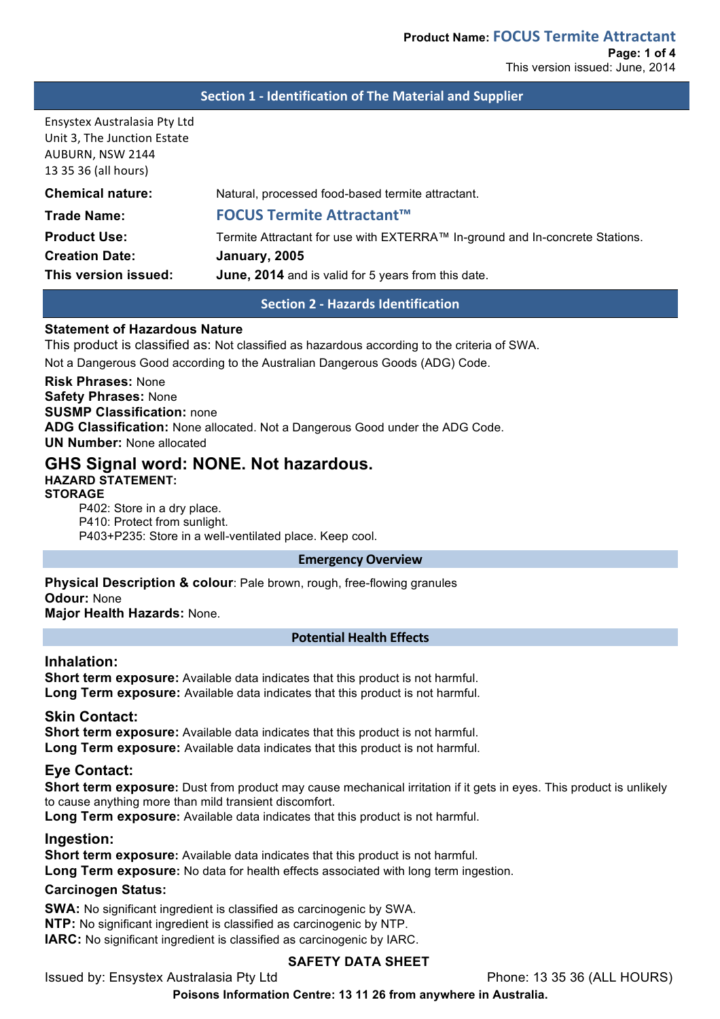#### **Section 1 - Identification of The Material and Supplier**

Ensystex Australasia Pty Ltd Unit 3, The Junction Estate AUBURN, NSW 2144 13 35 36 (all hours)

**Chemical nature:** Natural, processed food-based termite attractant.

**Trade Name: FOCUS Termite Attractant™ Product Use:** Termite Attractant for use with EXTERRA™ In-ground and In-concrete Stations. **Creation Date: January, 2005 This version issued: June, 2014** and is valid for 5 years from this date.

**Section 2 - Hazards Identification**

# **Statement of Hazardous Nature**

This product is classified as: Not classified as hazardous according to the criteria of SWA.

Not a Dangerous Good according to the Australian Dangerous Goods (ADG) Code.

**Risk Phrases:** None **Safety Phrases:** None **SUSMP Classification:** none **ADG Classification:** None allocated. Not a Dangerous Good under the ADG Code. **UN Number:** None allocated

# **GHS Signal word: NONE. Not hazardous.**

**HAZARD STATEMENT: STORAGE**

P402: Store in a dry place. P410: Protect from sunlight. P403+P235: Store in a well-ventilated place. Keep cool.

#### **Emergency Overview**

**Physical Description & colour**: Pale brown, rough, free-flowing granules **Odour:** None **Major Health Hazards:** None.

#### **Potential Health Effects**

# **Inhalation:**

**Short term exposure:** Available data indicates that this product is not harmful. **Long Term exposure:** Available data indicates that this product is not harmful.

#### **Skin Contact:**

**Short term exposure:** Available data indicates that this product is not harmful. **Long Term exposure:** Available data indicates that this product is not harmful.

# **Eye Contact:**

**Short term exposure:** Dust from product may cause mechanical irritation if it gets in eyes. This product is unlikely to cause anything more than mild transient discomfort.

**Long Term exposure:** Available data indicates that this product is not harmful.

# **Ingestion:**

**Short term exposure:** Available data indicates that this product is not harmful.

**Long Term exposure:** No data for health effects associated with long term ingestion.

#### **Carcinogen Status:**

**SWA:** No significant ingredient is classified as carcinogenic by SWA. **NTP:** No significant ingredient is classified as carcinogenic by NTP. **IARC:** No significant ingredient is classified as carcinogenic by IARC.

# **SAFETY DATA SHEET**

Issued by: Ensystex Australasia Pty Ltd Phone: 13 35 36 (ALL HOURS)

**Poisons Information Centre: 13 11 26 from anywhere in Australia.**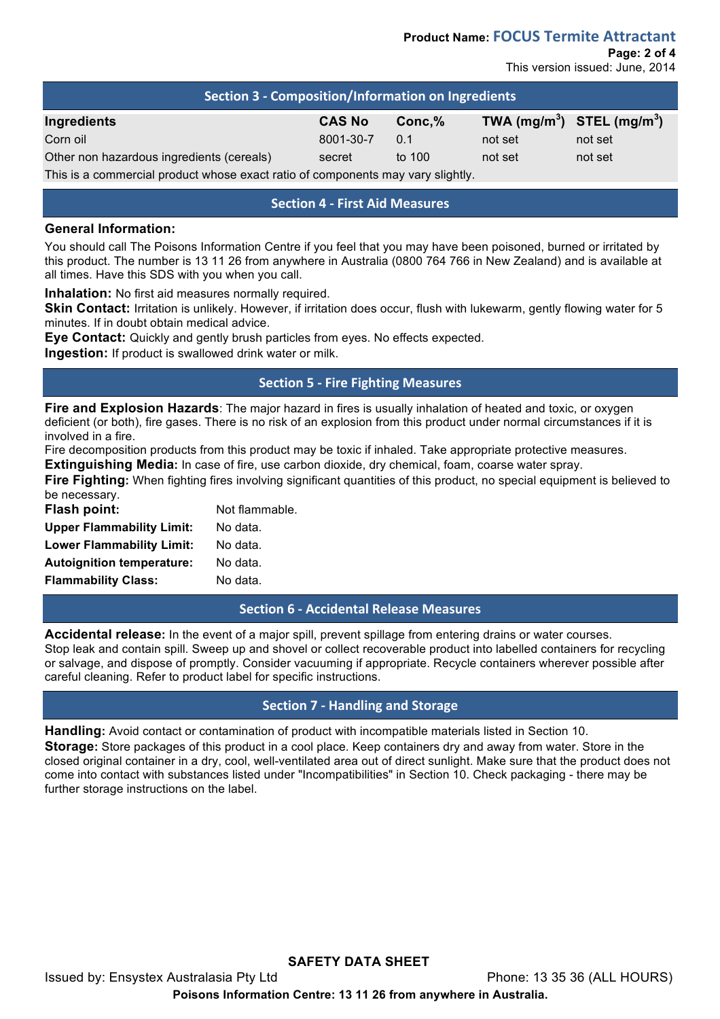**Page: 2 of 4**

This version issued: June, 2014

| Section 3 - Composition/Information on Ingredients                              |               |          |                                |         |  |
|---------------------------------------------------------------------------------|---------------|----------|--------------------------------|---------|--|
| Ingredients                                                                     | <b>CAS No</b> | Conc.%   | TWA $(mg/m^3)$ STEL $(mg/m^3)$ |         |  |
| Corn oil                                                                        | 8001-30-7     | 0.1      | not set                        | not set |  |
| Other non hazardous ingredients (cereals)                                       | secret        | to $100$ | not set                        | not set |  |
| This is a commercial product whose exact ratio of components may vary slightly. |               |          |                                |         |  |

# **Section 4 - First Aid Measures**

#### **General Information:**

You should call The Poisons Information Centre if you feel that you may have been poisoned, burned or irritated by this product. The number is 13 11 26 from anywhere in Australia (0800 764 766 in New Zealand) and is available at all times. Have this SDS with you when you call.

**Inhalation:** No first aid measures normally required.

**Skin Contact:** Irritation is unlikely. However, if irritation does occur, flush with lukewarm, gently flowing water for 5 minutes. If in doubt obtain medical advice.

**Eye Contact:** Quickly and gently brush particles from eyes. No effects expected.

**Ingestion:** If product is swallowed drink water or milk.

# **Section 5 - Fire Fighting Measures**

**Fire and Explosion Hazards**: The major hazard in fires is usually inhalation of heated and toxic, or oxygen deficient (or both), fire gases. There is no risk of an explosion from this product under normal circumstances if it is involved in a fire.

Fire decomposition products from this product may be toxic if inhaled. Take appropriate protective measures. **Extinguishing Media:** In case of fire, use carbon dioxide, dry chemical, foam, coarse water spray.

**Fire Fighting:** When fighting fires involving significant quantities of this product, no special equipment is believed to be necessary.

| <b>Flash point:</b>              | Not flammable. |
|----------------------------------|----------------|
| <b>Upper Flammability Limit:</b> | No data.       |
| <b>Lower Flammability Limit:</b> | No data.       |
| <b>Autoignition temperature:</b> | No data.       |
| <b>Flammability Class:</b>       | No data.       |

# **Section 6 - Accidental Release Measures**

**Accidental release:** In the event of a major spill, prevent spillage from entering drains or water courses. Stop leak and contain spill. Sweep up and shovel or collect recoverable product into labelled containers for recycling or salvage, and dispose of promptly. Consider vacuuming if appropriate. Recycle containers wherever possible after careful cleaning. Refer to product label for specific instructions.

# **Section 7 - Handling and Storage**

**Handling:** Avoid contact or contamination of product with incompatible materials listed in Section 10. **Storage:** Store packages of this product in a cool place. Keep containers dry and away from water. Store in the closed original container in a dry, cool, well-ventilated area out of direct sunlight. Make sure that the product does not come into contact with substances listed under "Incompatibilities" in Section 10. Check packaging - there may be further storage instructions on the label.

**SAFETY DATA SHEET** Issued by: Ensystex Australasia Pty Ltd Phone: 13 35 36 (ALL HOURS) **Poisons Information Centre: 13 11 26 from anywhere in Australia.**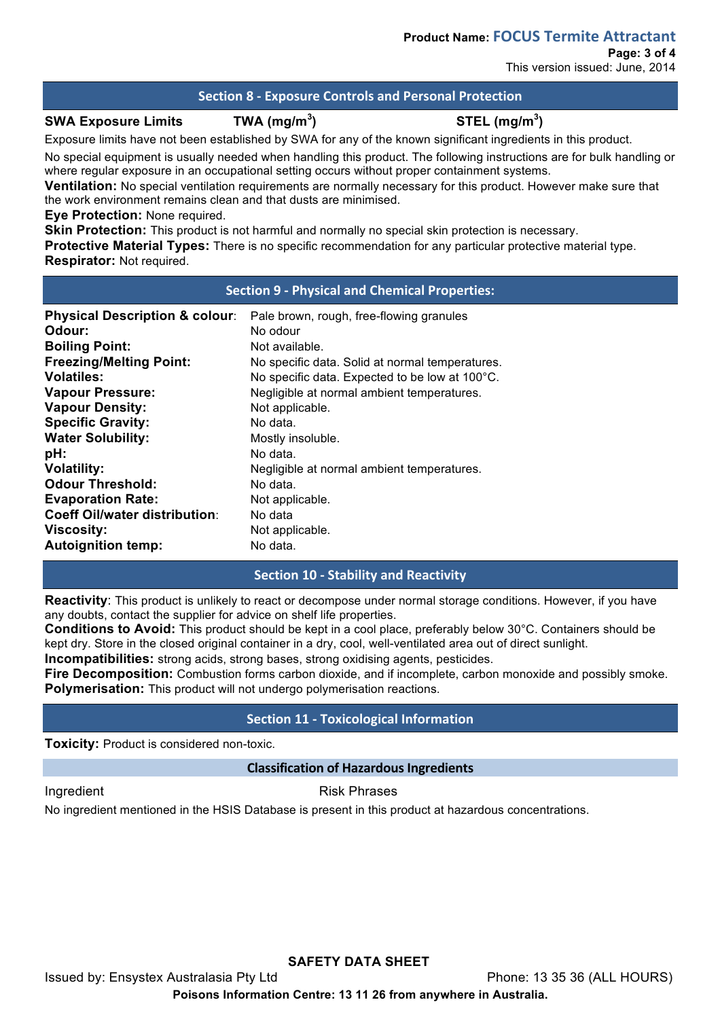# **Section 8 - Exposure Controls and Personal Protection**

#### **SWA Exposure Limits TWA (mg/m<sup>3</sup>**

**) STEL (mg/m<sup>3</sup> )**

Exposure limits have not been established by SWA for any of the known significant ingredients in this product.

No special equipment is usually needed when handling this product. The following instructions are for bulk handling or where regular exposure in an occupational setting occurs without proper containment systems.

**Ventilation:** No special ventilation requirements are normally necessary for this product. However make sure that the work environment remains clean and that dusts are minimised.

**Eye Protection:** None required.

**Skin Protection:** This product is not harmful and normally no special skin protection is necessary.

**Protective Material Types:** There is no specific recommendation for any particular protective material type. **Respirator:** Not required.

### **Section 9 - Physical and Chemical Properties:**

| <b>Physical Description &amp; colour:</b> | Pale brown, rough, free-flowing granules        |
|-------------------------------------------|-------------------------------------------------|
| Odour:                                    | No odour                                        |
| <b>Boiling Point:</b>                     | Not available.                                  |
| <b>Freezing/Melting Point:</b>            | No specific data. Solid at normal temperatures. |
| <b>Volatiles:</b>                         | No specific data. Expected to be low at 100°C.  |
| <b>Vapour Pressure:</b>                   | Negligible at normal ambient temperatures.      |
| <b>Vapour Density:</b>                    | Not applicable.                                 |
| <b>Specific Gravity:</b>                  | No data.                                        |
| <b>Water Solubility:</b>                  | Mostly insoluble.                               |
| pH:                                       | No data.                                        |
| <b>Volatility:</b>                        | Negligible at normal ambient temperatures.      |
| <b>Odour Threshold:</b>                   | No data.                                        |
| <b>Evaporation Rate:</b>                  | Not applicable.                                 |
| <b>Coeff Oil/water distribution:</b>      | No data                                         |
| <b>Viscosity:</b>                         | Not applicable.                                 |
| <b>Autoignition temp:</b>                 | No data.                                        |

# **Section 10 - Stability and Reactivity**

**Reactivity**: This product is unlikely to react or decompose under normal storage conditions. However, if you have any doubts, contact the supplier for advice on shelf life properties.

**Conditions to Avoid:** This product should be kept in a cool place, preferably below 30°C. Containers should be kept dry. Store in the closed original container in a dry, cool, well-ventilated area out of direct sunlight.

**Incompatibilities:** strong acids, strong bases, strong oxidising agents, pesticides.

**Fire Decomposition:** Combustion forms carbon dioxide, and if incomplete, carbon monoxide and possibly smoke. **Polymerisation:** This product will not undergo polymerisation reactions.

# **Section 11 - Toxicological Information**

**Toxicity:** Product is considered non-toxic.

# **Classification of Hazardous Ingredients**

Ingredient **Risk Phrases** 

No ingredient mentioned in the HSIS Database is present in this product at hazardous concentrations.

**SAFETY DATA SHEET** Issued by: Ensystex Australasia Pty Ltd Phone: 13 35 36 (ALL HOURS) **Poisons Information Centre: 13 11 26 from anywhere in Australia.**